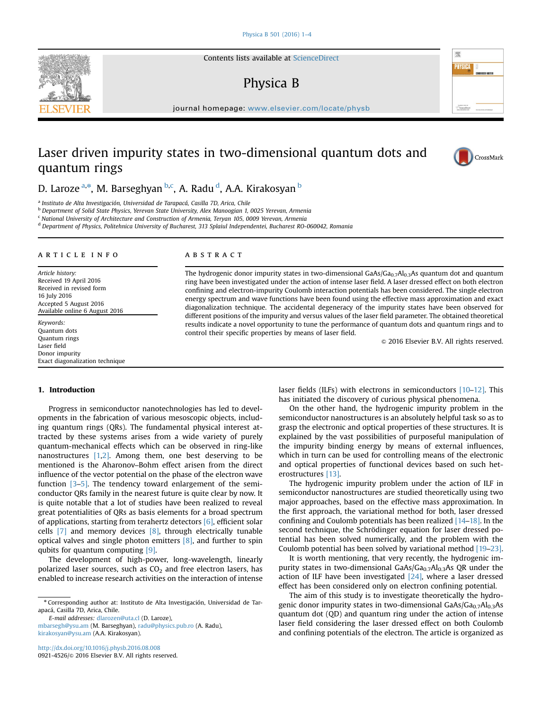Contents lists available at [ScienceDirect](www.sciencedirect.com/science/journal/09214526)

# Physica B

journal homepage: <www.elsevier.com/locate/physb>

# Laser driven impurity states in two-dimensional quantum dots and quantum rings

D. Laroze <sup>a,\*</sup>, M. Barseghyan <sup>b,c</sup>, A. Radu <sup>d</sup>, A.A. Kirakosyan <sup>b</sup>

<sup>a</sup> Instituto de Alta Investigación, Universidad de Tarapacá, Casilla 7D, Arica, Chile

<sup>b</sup> Department of Solid State Physics, Yerevan State University, Alex Manoogian 1, 0025 Yerevan, Armenia

<sup>c</sup> National University of Architecture and Construction of Armenia, Teryan 105, 0009 Yerevan, Armenia

<sup>d</sup> Department of Physics, Politehnica University of Bucharest, 313 Splaiul Independentei, Bucharest RO-060042, Romania

### article info

Article history: Received 19 April 2016 Received in revised form 16 July 2016 Accepted 5 August 2016 Available online 6 August 2016

Keywords: Quantum dots Quantum rings Laser field Donor impurity Exact diagonalization technique

## ABSTRACT

The hydrogenic donor impurity states in two-dimensional  $GaAs/Ga<sub>0.7</sub>Al<sub>0.3</sub>As$  quantum dot and quantum ring have been investigated under the action of intense laser field. A laser dressed effect on both electron confining and electron-impurity Coulomb interaction potentials has been considered. The single electron energy spectrum and wave functions have been found using the effective mass approximation and exact diagonalization technique. The accidental degeneracy of the impurity states have been observed for different positions of the impurity and versus values of the laser field parameter. The obtained theoretical results indicate a novel opportunity to tune the performance of quantum dots and quantum rings and to control their specific properties by means of laser field.

 $\odot$  2016 Elsevier B.V. All rights reserved.

### 1. Introduction

Progress in semiconductor nanotechnologies has led to developments in the fabrication of various mesoscopic objects, including quantum rings (QRs). The fundamental physical interest attracted by these systems arises from a wide variety of purely quantum-mechanical effects which can be observed in ring-like nanostructures [\[1,2\]](#page-3-0). Among them, one best deserving to be mentioned is the Aharonov–Bohm effect arisen from the direct influence of the vector potential on the phase of the electron wave function [\[3](#page-3-0)–[5\].](#page-3-0) The tendency toward enlargement of the semiconductor QRs family in the nearest future is quite clear by now. It is quite notable that a lot of studies have been realized to reveal great potentialities of QRs as basis elements for a broad spectrum of applications, starting from terahertz detectors [\[6\]](#page-3-0), efficient solar cells [\[7\]](#page-3-0) and memory devices [\[8\],](#page-3-0) through electrically tunable optical valves and single photon emitters [\[8\]](#page-3-0), and further to spin qubits for quantum computing [\[9\].](#page-3-0)

The development of high-power, long-wavelength, linearly polarized laser sources, such as  $CO<sub>2</sub>$  and free electron lasers, has enabled to increase research activities on the interaction of intense

E-mail addresses: [dlarozen@uta.cl](mailto:dlarozen@uta.cl) (D. Laroze),

[mbarsegh@ysu.am](mailto:mbarsegh@ysu.am) (M. Barseghyan), [radu@physics.pub.ro](mailto:radu@physics.pub.ro) (A. Radu), [kirakosyan@ysu.am](mailto:kirakosyan@ysu.am) (A.A. Kirakosyan).

<http://dx.doi.org/10.1016/j.physb.2016.08.008> 0921-4526/& 2016 Elsevier B.V. All rights reserved. laser fields (ILFs) with electrons in semiconductors [\[10](#page-3-0)–[12\].](#page-3-0) This has initiated the discovery of curious physical phenomena.

On the other hand, the hydrogenic impurity problem in the semiconductor nanostructures is an absolutely helpful task so as to grasp the electronic and optical properties of these structures. It is explained by the vast possibilities of purposeful manipulation of the impurity binding energy by means of external influences, which in turn can be used for controlling means of the electronic and optical properties of functional devices based on such heterostructures [\[13\]](#page-3-0).

The hydrogenic impurity problem under the action of ILF in semiconductor nanostructures are studied theoretically using two major approaches, based on the effective mass approximation. In the first approach, the variational method for both, laser dressed confining and Coulomb potentials has been realized [\[14](#page-3-0)–[18\].](#page-3-0) In the second technique, the Schrödinger equation for laser dressed potential has been solved numerically, and the problem with the Coulomb potential has been solved by variational method [\[19](#page-3-0)–[23\].](#page-3-0)

It is worth mentioning, that very recently, the hydrogenic impurity states in two-dimensional GaAs/ $Ga<sub>0.7</sub>Al<sub>0.3</sub>As QR$  under the action of ILF have been investigated  $[24]$ , where a laser dressed effect has been considered only on electron confining potential.

The aim of this study is to investigate theoretically the hydrogenic donor impurity states in two-dimensional  $GaAs/Ga<sub>0.7</sub>Al<sub>0.3</sub>As$ quantum dot (QD) and quantum ring under the action of intense laser field considering the laser dressed effect on both Coulomb and confining potentials of the electron. The article is organized as







<sup>n</sup> Corresponding author at: Instituto de Alta Investigación, Universidad de Tarapacá, Casilla 7D, Arica, Chile.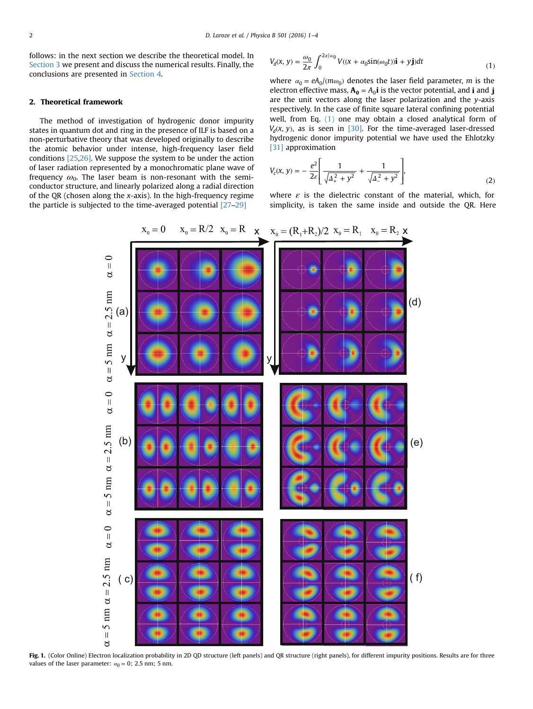<span id="page-1-0"></span>follows: in the next section we describe the theoretical model. In [Section 3](#page-2-0) we present and discuss the numerical results. Finally, the conclusions are presented in [Section 4](#page-3-0).

# 2. Theoretical framework

The method of investigation of hydrogenic donor impurity states in quantum dot and ring in the presence of ILF is based on a non-perturbative theory that was developed originally to describe the atomic behavior under intense, high-frequency laser field conditions [\[25,26\].](#page-3-0) We suppose the system to be under the action of laser radiation represented by a monochromatic plane wave of frequency  $\omega_0$ . The laser beam is non-resonant with the semiconductor structure, and linearly polarized along a radial direction of the QR (chosen along the x-axis). In the high-frequency regime the particle is subjected to the time-averaged potential [\[27](#page-3-0)–[29\]](#page-3-0)

$$
V_d(x, y) = \frac{\omega_0}{2\pi} \int_0^{2\pi/\omega_0} V((x + \alpha_0 \sin(\omega_0 t))\mathbf{i} + y\mathbf{j})dt
$$
\n(1)

where  $\alpha_0 = eA_0/(m\omega_0)$  denotes the laser field parameter, *m* is the electron effective mass,  $A_0 = A_0$ **i** is the vector potential, and **i** and **j** are the unit vectors along the laser polarization and the y-axis respectively. In the case of finite square lateral confining potential well, from Eq. (1) one may obtain a closed analytical form of  $V_d(x, y)$ , as is seen in [\[30\].](#page-3-0) For the time-averaged laser-dressed hydrogenic donor impurity potential we have used the Ehlotzky [\[31\]](#page-3-0) approximation

$$
V_c(x, y) = -\frac{e^2}{2\varepsilon} \left[ \frac{1}{\sqrt{\Delta_+^2 + y^2}} + \frac{1}{\sqrt{\Delta_-^2 + y^2}} \right],
$$
 (2)

where  $\varepsilon$  is the dielectric constant of the material, which, for simplicity, is taken the same inside and outside the QR. Here



Fig. 1. (Color Online) Electron localization probability in 2D QD structure (left panels) and QR structure (right panels), for different impurity positions. Results are for three values of the laser parameter:  $\alpha_0 = 0$ ; 2.5 nm; 5 nm.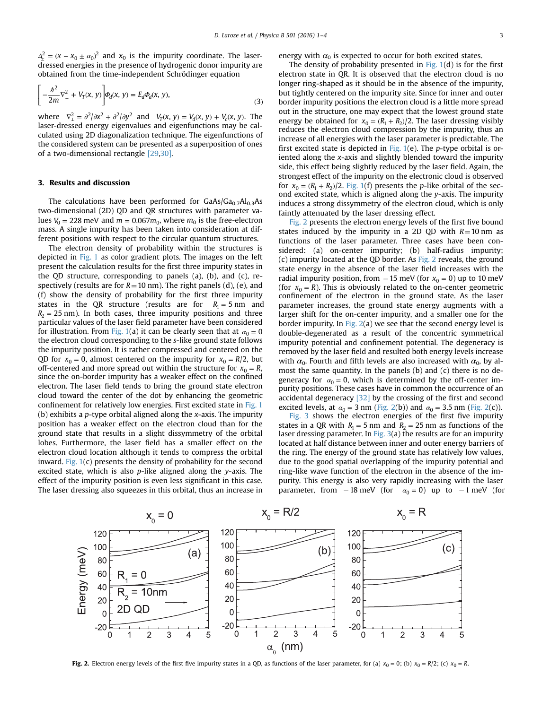<span id="page-2-0"></span> $\Delta_{\pm}^2 = (x - x_0 \pm \alpha_0)^2$  and  $x_0$  is the impurity coordinate. The laserdressed energies in the presence of hydrogenic donor impurity are obtained from the time-independent Schrödinger equation

$$
\[ -\frac{\hbar^2}{2m} \nabla_{\perp}^2 + V_T(x, y) \] \Phi_d(x, y) = E_d \Phi_d(x, y), \tag{3}
$$

where  $\nabla_1^2 = \frac{\partial^2}{\partial x^2} + \frac{\partial^2}{\partial y^2}$  and  $V_T(x, y) = V_d(x, y) + V_c(x, y)$ . The laser-dressed energy eigenvalues and eigenfunctions may be calculated using 2D diagonalization technique. The eigenfunctions of the considered system can be presented as a superposition of ones of a two-dimensional rectangle [\[29,30\].](#page-3-0)

# 3. Results and discussion

The calculations have been performed for  $GaAs/Ga<sub>0.7</sub>Al<sub>0.3</sub>As$ two-dimensional (2D) QD and QR structures with parameter values  $V_0 = 228$  meV and  $m = 0.067 m_0$ , where  $m_0$  is the free-electron mass. A single impurity has been taken into consideration at different positions with respect to the circular quantum structures.

The electron density of probability within the structures is depicted in [Fig. 1](#page-1-0) as color gradient plots. The images on the left present the calculation results for the first three impurity states in the QD structure, corresponding to panels (a), (b), and (c), respectively (results are for  $R=10$  nm). The right panels (d), (e), and (f) show the density of probability for the first three impurity states in the QR structure (results are for  $R_1 = 5$  nm and  $R<sub>2</sub> = 25$  nm). In both cases, three impurity positions and three particular values of the laser field parameter have been considered for illustration. From [Fig. 1\(](#page-1-0)a) it can be clearly seen that at  $\alpha_0 = 0$ the electron cloud corresponding to the s-like ground state follows the impurity position. It is rather compressed and centered on the QD for  $x_0 = 0$ , almost centered on the impurity for  $x_0 = R/2$ , but off-centered and more spread out within the structure for  $x_0 = R$ , since the on-border impurity has a weaker effect on the confined electron. The laser field tends to bring the ground state electron cloud toward the center of the dot by enhancing the geometric confinement for relatively low energies. First excited state in [Fig. 1](#page-1-0) (b) exhibits a *p*-type orbital aligned along the *x*-axis. The impurity position has a weaker effect on the electron cloud than for the ground state that results in a slight dissymmetry of the orbital lobes. Furthermore, the laser field has a smaller effect on the electron cloud location although it tends to compress the orbital inward. Fig.  $1(c)$  presents the density of probability for the second excited state, which is also  $p$ -like aligned along the  $y$ -axis. The effect of the impurity position is even less significant in this case. The laser dressing also squeezes in this orbital, thus an increase in

energy with  $\alpha_0$  is expected to occur for both excited states.

The density of probability presented in Fig.  $1(d)$  is for the first electron state in QR. It is observed that the electron cloud is no longer ring-shaped as it should be in the absence of the impurity, but tightly centered on the impurity site. Since for inner and outer border impurity positions the electron cloud is a little more spread out in the structure, one may expect that the lowest ground state energy be obtained for  $x_0 = (R_1 + R_2)/2$ . The laser dressing visibly reduces the electron cloud compression by the impurity, thus an increase of all energies with the laser parameter is predictable. The first excited state is depicted in [Fig. 1](#page-1-0)(e). The p-type orbital is oriented along the x-axis and slightly blended toward the impurity side, this effect being slightly reduced by the laser field. Again, the strongest effect of the impurity on the electronic cloud is observed for  $x_0 = (R_1 + R_2)/2$ . [Fig. 1](#page-1-0)(f) presents the p-like orbital of the second excited state, which is aligned along the y-axis. The impurity induces a strong dissymmetry of the electron cloud, which is only faintly attenuated by the laser dressing effect.

Fig. 2 presents the electron energy levels of the first five bound states induced by the impurity in a 2D QD with  $R=10$  nm as functions of the laser parameter. Three cases have been considered: (a) on-center impurity; (b) half-radius impurity; (c) impurity located at the QD border. As Fig. 2 reveals, the ground state energy in the absence of the laser field increases with the radial impurity position, from  $-15$  meV (for  $x_0 = 0$ ) up to 10 meV (for  $x_0 = R$ ). This is obviously related to the on-center geometric confinement of the electron in the ground state. As the laser parameter increases, the ground state energy augments with a larger shift for the on-center impurity, and a smaller one for the border impurity. In Fig.  $2(a)$  we see that the second energy level is double-degenerated as a result of the concentric symmetrical impurity potential and confinement potential. The degeneracy is removed by the laser field and resulted both energy levels increase with  $\alpha_0$ . Fourth and fifth levels are also increased with  $\alpha_0$ , by almost the same quantity. In the panels (b) and (c) there is no degeneracy for  $\alpha_0 = 0$ , which is determined by the off-center impurity positions. These cases have in common the occurrence of an accidental degeneracy [\[32\]](#page-3-0) by the crossing of the first and second excited levels, at  $\alpha_0 = 3$  nm (Fig. 2(b)) and  $\alpha_0 = 3.5$  nm (Fig. 2(c)).

[Fig. 3](#page-3-0) shows the electron energies of the first five impurity states in a QR with  $R_1 = 5$  nm and  $R_2 = 25$  nm as functions of the laser dressing parameter. In Fig.  $3(a)$  the results are for an impurity located at half distance between inner and outer energy barriers of the ring. The energy of the ground state has relatively low values, due to the good spatial overlapping of the impurity potential and ring-like wave function of the electron in the absence of the impurity. This energy is also very rapidly increasing with the laser parameter, from  $-18 \text{ meV}$  (for  $\alpha_0 = 0$ ) up to  $-1 \text{ meV}$  (for



Fig. 2. Electron energy levels of the first five impurity states in a QD, as functions of the laser parameter, for (a)  $x_0 = 0$ ; (b)  $x_0 = R/2$ ; (c)  $x_0 = R$ .